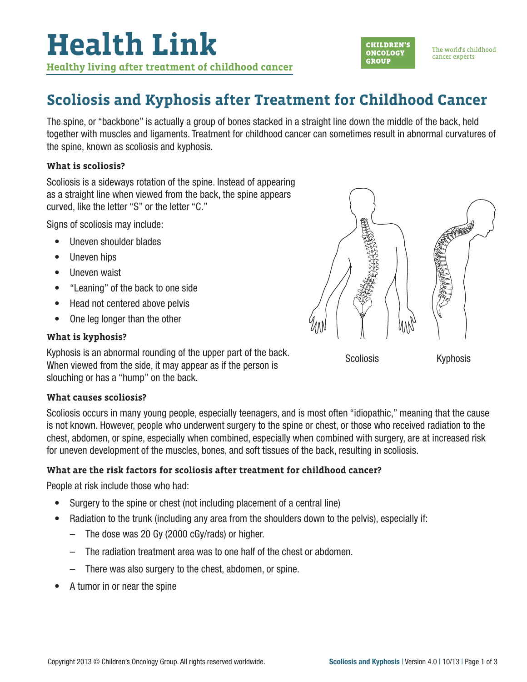

The spine, or "backbone" is actually a group of bones stacked in a straight line down the middle of the back, held together with muscles and ligaments. Treatment for childhood cancer can sometimes result in abnormal curvatures of the spine, known as scoliosis and kyphosis.

#### **What is scoliosis?**

Scoliosis is a sideways rotation of the spine. Instead of appearing as a straight line when viewed from the back, the spine appears curved, like the letter "S" or the letter "C."

Signs of scoliosis may include:

- Uneven shoulder blades
- Uneven hips
- Uneven waist
- "Leaning" of the back to one side
- Head not centered above pelvis
- One leg longer than the other

#### **What is kyphosis?**

Kyphosis is an abnormal rounding of the upper part of the back. When viewed from the side, it may appear as if the person is slouching or has a "hump" on the back.

#### **What causes scoliosis?**

Scoliosis occurs in many young people, especially teenagers, and is most often "idiopathic," meaning that the cause is not known. However, people who underwent surgery to the spine or chest, or those who received radiation to the chest, abdomen, or spine, especially when combined, especially when combined with surgery, are at increased risk for uneven development of the muscles, bones, and soft tissues of the back, resulting in scoliosis.

#### **What are the risk factors for scoliosis after treatment for childhood cancer?**

People at risk include those who had:

- Surgery to the spine or chest (not including placement of a central line)
- Radiation to the trunk (including any area from the shoulders down to the pelvis), especially if:
	- The dose was 20 Gy (2000 cGy/rads) or higher.
	- The radiation treatment area was to one half of the chest or abdomen.
	- There was also surgery to the chest, abdomen, or spine.
- A tumor in or near the spine



**CHILDREN'S** 

**ONCOLOGY** 

**GROUP** 

Scoliosis Kyphosis

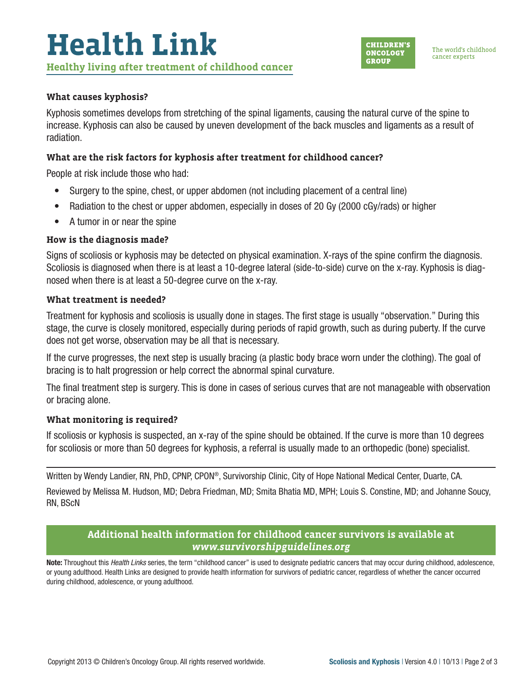

#### **What causes kyphosis?**

Kyphosis sometimes develops from stretching of the spinal ligaments, causing the natural curve of the spine to increase. Kyphosis can also be caused by uneven development of the back muscles and ligaments as a result of radiation.

### **What are the risk factors for kyphosis after treatment for childhood cancer?**

People at risk include those who had:

- Surgery to the spine, chest, or upper abdomen (not including placement of a central line)
- Radiation to the chest or upper abdomen, especially in doses of 20 Gy (2000 cGy/rads) or higher
- A tumor in or near the spine

#### **How is the diagnosis made?**

Signs of scoliosis or kyphosis may be detected on physical examination. X-rays of the spine confirm the diagnosis. Scoliosis is diagnosed when there is at least a 10-degree lateral (side-to-side) curve on the x-ray. Kyphosis is diagnosed when there is at least a 50-degree curve on the x-ray.

#### **What treatment is needed?**

Treatment for kyphosis and scoliosis is usually done in stages. The first stage is usually "observation." During this stage, the curve is closely monitored, especially during periods of rapid growth, such as during puberty. If the curve does not get worse, observation may be all that is necessary.

If the curve progresses, the next step is usually bracing (a plastic body brace worn under the clothing). The goal of bracing is to halt progression or help correct the abnormal spinal curvature.

The final treatment step is surgery. This is done in cases of serious curves that are not manageable with observation or bracing alone.

#### **What monitoring is required?**

If scoliosis or kyphosis is suspected, an x-ray of the spine should be obtained. If the curve is more than 10 degrees for scoliosis or more than 50 degrees for kyphosis, a referral is usually made to an orthopedic (bone) specialist.

Written by Wendy Landier, RN, PhD, CPNP, CPON®, Survivorship Clinic, City of Hope National Medical Center, Duarte, CA.

Reviewed by Melissa M. Hudson, MD; Debra Friedman, MD; Smita Bhatia MD, MPH; Louis S. Constine, MD; and Johanne Soucy, RN, BScN

## **Additional health information for childhood cancer survivors is available at**  *www.survivorshipguidelines.org*

Note: Throughout this *Health Links* series, the term "childhood cancer" is used to designate pediatric cancers that may occur during childhood, adolescence, or young adulthood. Health Links are designed to provide health information for survivors of pediatric cancer, regardless of whether the cancer occurred during childhood, adolescence, or young adulthood.